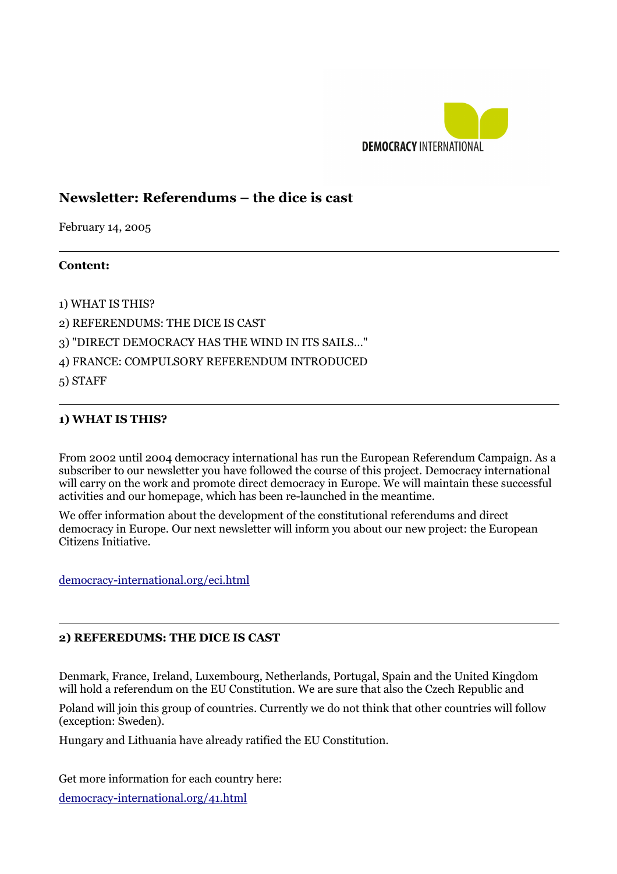

# **Newsletter: Referendums – the dice is cast**

February 14, 2005

#### **Content:**

 $\overline{a}$ 

1) WHAT IS THIS?

2) REFERENDUMS: THE DICE IS CAST

3) "DIRECT DEMOCRACY HAS THE WIND IN ITS SAILS..."

4) FRANCE: COMPULSORY REFERENDUM INTRODUCED

5) STAFF

 $\overline{a}$ 

 $\overline{a}$ 

## **1) WHAT IS THIS?**

From 2002 until 2004 democracy international has run the European Referendum Campaign. As a subscriber to our newsletter you have followed the course of this project. Democracy international will carry on the work and promote direct democracy in Europe. We will maintain these successful activities and our homepage, which has been re-launched in the meantime.

We offer information about the development of the constitutional referendums and direct democracy in Europe. Our next newsletter will inform you about our new project: the European Citizens Initiative.

[democracy-international.org/eci.html](http://democracy-international.org/eci.html)

#### **2) REFEREDUMS: THE DICE IS CAST**

Denmark, France, Ireland, Luxembourg, Netherlands, Portugal, Spain and the United Kingdom will hold a referendum on the EU Constitution. We are sure that also the Czech Republic and

Poland will join this group of countries. Currently we do not think that other countries will follow (exception: Sweden).

Hungary and Lithuania have already ratified the EU Constitution.

Get more information for each country here:

[democracy-international.org/41.html](http://democracy-international.org/41.html)